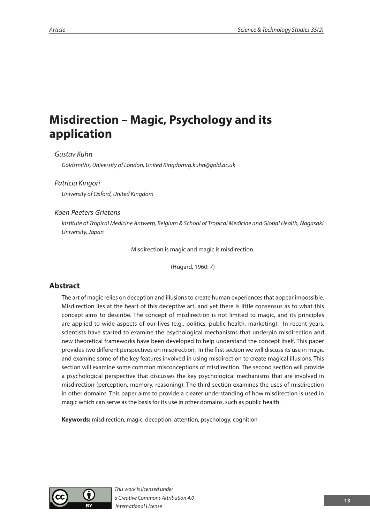# **Misdirection – Magic, Psychology and its application**

#### *Gustav Kuhn*

*Goldsmiths, University of London, United Kingdom/g.kuhn@gold.ac.uk*

#### *Patricia Kingori*

*University of Oxford, United Kingdom*

#### *Koen Peeters Grietens*

*Institute of Tropical Medicine Antwerp, Belgium & School of Tropical Medicine and Global Health, Nagasaki University, Japan*

Misdirection is magic and magic is misdirection.

(Hugard, 1960: 7)

# **Abstract**

The art of magic relies on deception and illusions to create human experiences that appear impossible. Misdirection lies at the heart of this deceptive art, and yet there is little consensus as to what this concept aims to describe. The concept of misdirection is not limited to magic, and its principles are applied to wide aspects of our lives (e.g., politics, public health, marketing). In recent years, scientists have started to examine the psychological mechanisms that underpin misdirection and new theoretical frameworks have been developed to help understand the concept itself. This paper provides two different perspectives on misdirection. In the first section we will discuss its use in magic and examine some of the key features involved in using misdirection to create magical illusions. This section will examine some common misconceptions of misdirection. The second section will provide a psychological perspective that discusses the key psychological mechanisms that are involved in misdirection (perception, memory, reasoning). The third section examines the uses of misdirection in other domains. This paper aims to provide a clearer understanding of how misdirection is used in magic which can serve as the basis for its use in other domains, such as public health.

**Keywords:** misdirection, magic, deception, attention, psychology, cognition



*This work is licensed under a Creative Commons Attribution 4.0 International License*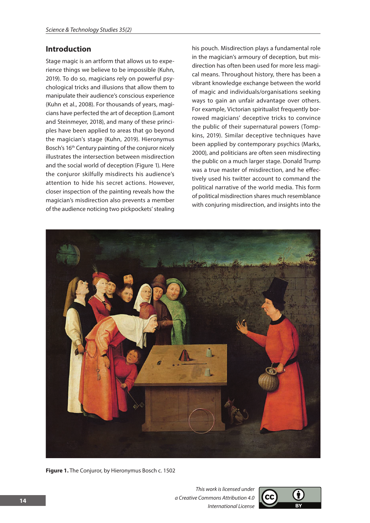# **Introduction**

Stage magic is an artform that allows us to experience things we believe to be impossible (Kuhn, 2019). To do so, magicians rely on powerful psychological tricks and illusions that allow them to manipulate their audience's conscious experience (Kuhn et al., 2008). For thousands of years, magicians have perfected the art of deception (Lamont and Steinmeyer, 2018), and many of these principles have been applied to areas that go beyond the magician's stage (Kuhn, 2019). Hieronymus Bosch's 16<sup>th</sup> Century painting of the conjuror nicely illustrates the intersection between misdirection and the social world of deception (Figure 1). Here the conjuror skilfully misdirects his audience's attention to hide his secret actions. However, closer inspection of the painting reveals how the magician's misdirection also prevents a member of the audience noticing two pickpockets' stealing

his pouch. Misdirection plays a fundamental role in the magician's armoury of deception, but misdirection has often been used for more less magical means. Throughout history, there has been a vibrant knowledge exchange between the world of magic and individuals/organisations seeking ways to gain an unfair advantage over others. For example, Victorian spiritualist frequently borrowed magicians' deceptive tricks to convince the public of their supernatural powers (Tompkins, 2019). Similar deceptive techniques have been applied by contemporary psychics (Marks, 2000), and politicians are often seen misdirecting the public on a much larger stage. Donald Trump was a true master of misdirection, and he effectively used his twitter account to command the political narrative of the world media. This form of political misdirection shares much resemblance with conjuring misdirection, and insights into the



**Figure 1.** The Conjuror, by Hieronymus Bosch c. 1502

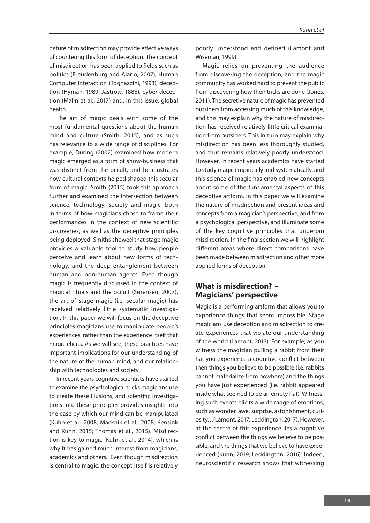nature of misdirection may provide effective ways of countering this form of deception. The concept of misdirection has been applied to fields such as politics (Freudenburg and Alario, 2007), Human Computer Interaction (Tognazzini, 1993), deception (Hyman, 1989; Jastrow, 1888), cyber deception (Malin et al., 2017) and, in this issue, global health.

The art of magic deals with some of the most fundamental questions about the human mind and culture (Smith, 2015), and as such has relevance to a wide range of disciplines. For example, During (2002) examined how modern magic emerged as a form of show-business that was distinct from the occult, and he illustrates how cultural contexts helped shaped this secular form of magic. Smith (2015) took this approach further and examined the intersection between science, technology, society and magic, both in terms of how magicians chose to frame their performances in the context of new scientific discoveries, as well as the deceptive principles being deployed. Smiths showed that stage magic provides a valuable tool to study how people perceive and learn about new forms of technology, and the deep entanglement between human and non-human agents. Even though magic is frequently discussed in the context of magical rituals and the occult (Sørensen, 2007), the art of stage magic (i.e. secular magic) has received relatively little systematic investigation. In this paper we will focus on the deceptive principles magicians use to manipulate people's experiences, rather than the experience itself that magic elicits. As we will see, these practices have important implications for our understanding of the nature of the human mind, and our relationship with technologies and society.

In recent years cognitive scientists have started to examine the psychological tricks magicians use to create these illusions, and scientific investigations into these principles provides insights into the ease by which our mind can be manipulated (Kuhn et al., 2008; Macknik et al., 2008; Rensink and Kuhn, 2015; Thomas et al., 2015). Misdirection is key to magic (Kuhn et al., 2014), which is why it has gained much interest from magicians, academics and others. Even though misdirection is central to magic, the concept itself is relatively

poorly understood and defined (Lamont and Wiseman, 1999).

Magic relies on preventing the audience from discovering the deception, and the magic community has worked hard to prevent the public from discovering how their tricks are done (Jones, 2011). The secretive nature of magic has prevented outsiders from accessing much of this knowledge, and this may explain why the nature of misdirection has received relatively little critical examination from outsiders. This in turn may explain why misdirection has been less thoroughly studied, and thus remains relatively poorly understood. However, in recent years academics have started to study magic empirically and systematically, and this science of magic has enabled new concepts about some of the fundamental aspects of this deceptive artform. In this paper we will examine the nature of misdirection and present ideas and concepts from a magician's perspective, and from a psychological perspective, and illuminate some of the key cognitive principles that underpin misdirection. In the final section we will highlight different areas where direct comparisons have been made between misdirection and other more applied forms of deception.

# **What is misdirection? - Magicians' perspective**

Magic is a performing artform that allows you to experience things that seem impossible. Stage magicians use deception and misdirection to create experiences that violate our understanding of the world (Lamont, 2013). For example, as you witness the magician pulling a rabbit from their hat you experience a cognitive conflict between then things you believe to be possible (i.e. rabbits cannot materialize from nowhere) and the things you have just experienced (i.e. rabbit appeared inside what seemed to be an empty hat). Witnessing such events elicits a wide range of emotions, such as wonder, awe, surprise, astonishment, curiosity…(Lamont, 2017; Leddington, 2017). However, at the centre of this experience lies a cognitive conflict between the things we believe to be possible, and the things that we believe to have experienced (Kuhn, 2019; Leddington, 2016). Indeed, neuroscientific research shows that witnessing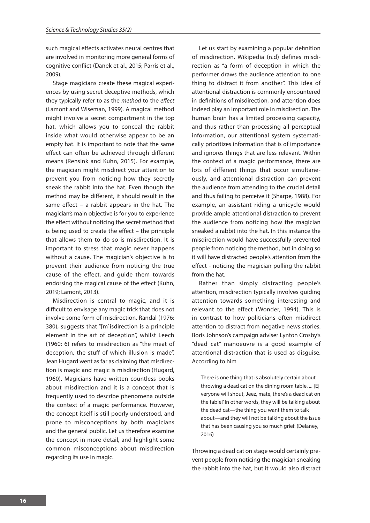such magical effects activates neural centres that are involved in monitoring more general forms of cognitive conflict (Danek et al., 2015; Parris et al., 2009).

Stage magicians create these magical experiences by using secret deceptive methods, which they typically refer to as the *method* to the *effect*  (Lamont and Wiseman, 1999). A magical method might involve a secret compartment in the top hat, which allows you to conceal the rabbit inside what would otherwise appear to be an empty hat. It is important to note that the same effect can often be achieved through different means (Rensink and Kuhn, 2015). For example, the magician might misdirect your attention to prevent you from noticing how they secretly sneak the rabbit into the hat. Even though the method may be different, it should result in the same effect – a rabbit appears in the hat. The magician's main objective is for you to experience the effect without noticing the secret method that is being used to create the effect – the principle that allows them to do so is misdirection. It is important to stress that magic never happens without a cause. The magician's objective is to prevent their audience from noticing the true cause of the effect, and guide them towards endorsing the magical cause of the effect (Kuhn, 2019; Lamont, 2013).

Misdirection is central to magic, and it is difficult to envisage any magic trick that does not involve some form of misdirection. Randal (1976: 380), suggests that "[m]isdirection is a principle element in the art of deception", whilst Leech (1960: 6) refers to misdirection as "the meat of deception, the stuff of which illusion is made". Jean Hugard went as far as claiming that misdirection is magic and magic is misdirection (Hugard, 1960). Magicians have written countless books about misdirection and it is a concept that is frequently used to describe phenomena outside the context of a magic performance. However, the concept itself is still poorly understood, and prone to misconceptions by both magicians and the general public. Let us therefore examine the concept in more detail, and highlight some common misconceptions about misdirection regarding its use in magic.

Let us start by examining a popular definition of misdirection. Wikipedia (n.d) defines misdirection as "a form of deception in which the performer draws the audience attention to one thing to distract it from another". This idea of attentional distraction is commonly encountered in definitions of misdirection, and attention does indeed play an important role in misdirection. The human brain has a limited processing capacity, and thus rather than processing all perceptual information, our attentional system systematically prioritizes information that is of importance and ignores things that are less relevant. Within the context of a magic performance, there are lots of different things that occur simultaneously, and attentional distraction can prevent the audience from attending to the crucial detail and thus failing to perceive it (Sharpe, 1988). For example, an assistant riding a unicycle would provide ample attentional distraction to prevent the audience from noticing how the magician sneaked a rabbit into the hat. In this instance the misdirection would have successfully prevented people from noticing the method, but in doing so it will have distracted people's attention from the effect - noticing the magician pulling the rabbit from the hat.

Rather than simply distracting people's attention, misdirection typically involves guiding attention towards something interesting and relevant to the effect (Wonder, 1994). This is in contrast to how politicians often misdirect attention to distract from negative news stories. Boris Johnson's campaign adviser Lynton Crosby's "dead cat" manoeuvre is a good example of attentional distraction that is used as disguise. According to him

There is one thing that is absolutely certain about throwing a dead cat on the dining room table. ... [E] veryone will shout, 'Jeez, mate, there's a dead cat on the table!' In other words, they will be talking about the dead cat—the thing you want them to talk about—and they will not be talking about the issue that has been causing you so much grief. (Delaney, 2016)

Throwing a dead cat on stage would certainly prevent people from noticing the magician sneaking the rabbit into the hat, but it would also distract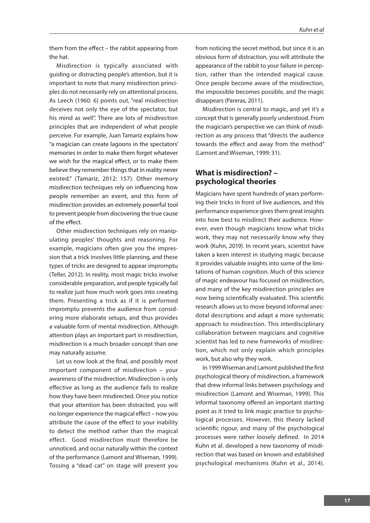them from the effect – the rabbit appearing from the hat.

Misdirection is typically associated with guiding or distracting people's attention, but it is important to note that many misdirection principles do not necessarily rely on attentional process. As Leech (1960: 6) points out, "real misdirection deceives not only the eye of the spectator, but his mind as well". There are lots of misdirection principles that are independent of what people perceive. For example, Juan Tamariz explains how "a magician can create lagoons in the spectators' memories in order to make them forget whatever we wish for the magical effect, or to make them believe they remember things that in reality never existed." (Tamariz, 2012: 157). Other memory misdirection techniques rely on influencing how people remember an event, and this form of misdirection provides an extremely powerful tool to prevent people from discovering the true cause of the effect.

Other misdirection techniques rely on manipulating peoples' thoughts and reasoning. For example, magicians often give you the impression that a trick involves little planning, and these types of tricks are designed to appear impromptu (Teller, 2012). In reality, most magic tricks involve considerable preparation, and people typically fail to realize just how much work goes into creating them. Presenting a trick as if it is performed impromptu prevents the audience from considering more elaborate setups, and thus provides a valuable form of mental misdirection. Although attention plays an important part in misdirection, misdirection is a much broader concept than one may naturally assume.

Let us now look at the final, and possibly most important component of misdirection – your awareness of the misdirection. Misdirection is only effective as long as the audience fails to realize how they have been misdirected. Once you notice that your attention has been distracted, you will no longer experience the magical effect – now you attribute the cause of the effect to your inability to detect the method rather than the magical effect. Good misdirection must therefore be unnoticed, and occur naturally within the context of the performance (Lamont and Wiseman, 1999). Tossing a "dead cat" on stage will prevent you

from noticing the secret method, but since it is an obvious form of distraction, you will attribute the appearance of the rabbit to your failure in perception, rather than the intended magical cause. Once people become aware of the misdirection, the impossible becomes possible, and the magic disappears (Pareras, 2011).

Misdirection is central to magic, and yet it's a concept that is generally poorly understood. From the magician's perspective we can think of misdirection as any process that "directs the audience towards the effect and away from the method" (Lamont and Wiseman, 1999: 31).

# **What is misdirection? – psychological theories**

Magicians have spent hundreds of years performing their tricks in front of live audiences, and this performance experience gives them great insights into how best to misdirect their audience. However, even though magicians know what tricks work, they may not necessarily know why they work (Kuhn, 2019). In recent years, scientist have taken a keen interest in studying magic because it provides valuable insights into some of the limitations of human cognition. Much of this science of magic endeavour has focused on misdirection, and many of the key misdirection principles are now being scientifically evaluated. This scientific research allows us to move beyond informal anecdotal descriptions and adapt a more systematic approach to misdirection. This interdisciplinary collaboration between magicians and cognitive scientist has led to new frameworks of misdirection, which not only explain which principles work, but also why they work.

In 1999 Wiseman and Lamont published the first psychological theory of misdirection, a framework that drew informal links between psychology and misdirection (Lamont and Wiseman, 1999). This informal taxonomy offered an important starting point as it tried to link magic practice to psychological processes. However, this theory lacked scientific rigour, and many of the psychological processes were rather loosely defined. In 2014 Kuhn et al. developed a new taxonomy of misdirection that was based on known and established psychological mechanisms (Kuhn et al., 2014).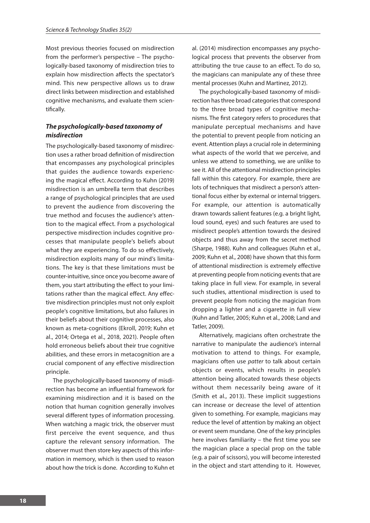Most previous theories focused on misdirection from the performer's perspective – The psychologically-based taxonomy of misdirection tries to explain how misdirection affects the spectator's mind. This new perspective allows us to draw direct links between misdirection and established cognitive mechanisms, and evaluate them scientifically.

## *The psychologically-based taxonomy of misdirection*

The psychologically-based taxonomy of misdirection uses a rather broad definition of misdirection that encompasses any psychological principles that guides the audience towards experiencing the magical effect. According to Kuhn (2019) misdirection is an umbrella term that describes a range of psychological principles that are used to prevent the audience from discovering the true method and focuses the audience's attention to the magical effect. From a psychological perspective misdirection includes cognitive processes that manipulate people's beliefs about what they are experiencing. To do so effectively, misdirection exploits many of our mind's limitations. The key is that these limitations must be counter-intuitive, since once you become aware of them, you start attributing the effect to your limitations rather than the magical effect. Any effective misdirection principles must not only exploit people's cognitive limitations, but also failures in their beliefs about their cognitive processes, also known as meta-cognitions (Ekroll, 2019; Kuhn et al., 2014; Ortega et al., 2018, 2021). People often hold erroneous beliefs about their true cognitive abilities, and these errors in metacognition are a crucial component of any effective misdirection principle.

The psychologically-based taxonomy of misdirection has become an influential framework for examining misdirection and it is based on the notion that human cognition generally involves several different types of information processing. When watching a magic trick, the observer must first perceive the event sequence, and thus capture the relevant sensory information. The observer must then store key aspects of this information in memory, which is then used to reason about how the trick is done. According to Kuhn et al. (2014) misdirection encompasses any psychological process that prevents the observer from attributing the true cause to an effect. To do so, the magicians can manipulate any of these three mental processes (Kuhn and Martinez, 2012).

The psychologically-based taxonomy of misdirection has three broad categories that correspond to the three broad types of cognitive mechanisms. The first category refers to procedures that manipulate perceptual mechanisms and have the potential to prevent people from noticing an event. Attention plays a crucial role in determining what aspects of the world that we perceive, and unless we attend to something, we are unlike to see it. All of the attentional misdirection principles fall within this category. For example, there are lots of techniques that misdirect a person's attentional focus either by external or internal triggers. For example, our attention is automatically drawn towards salient features (e.g. a bright light, loud sound, eyes) and such features are used to misdirect people's attention towards the desired objects and thus away from the secret method (Sharpe, 1988). Kuhn and colleagues (Kuhn et al., 2009; Kuhn et al., 2008) have shown that this form of attentional misdirection is extremely effective at preventing people from noticing events that are taking place in full view. For example, in several such studies, attentional misdirection is used to prevent people from noticing the magician from dropping a lighter and a cigarette in full view (Kuhn and Tatler, 2005; Kuhn et al., 2008; Land and Tatler, 2009).

Alternatively, magicians often orchestrate the narrative to manipulate the audience's internal motivation to attend to things. For example, magicians often use *patter* to talk about certain objects or events, which results in people's attention being allocated towards these objects without them necessarily being aware of it (Smith et al., 2013). These implicit suggestions can increase or decrease the level of attention given to something. For example, magicians may reduce the level of attention by making an object or event seem mundane. One of the key principles here involves familiarity – the first time you see the magician place a special prop on the table (e.g. a pair of scissors), you will become interested in the object and start attending to it. However,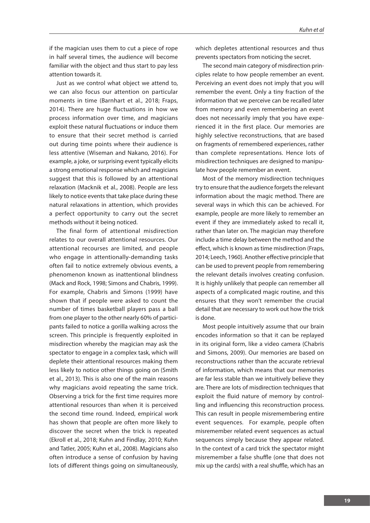if the magician uses them to cut a piece of rope in half several times, the audience will become familiar with the object and thus start to pay less attention towards it.

Just as we control what object we attend to, we can also focus our attention on particular moments in time (Barnhart et al., 2018; Fraps, 2014). There are huge fluctuations in how we process information over time, and magicians exploit these natural fluctuations or induce them to ensure that their secret method is carried out during time points where their audience is less attentive (Wiseman and Nakano, 2016). For example, a joke, or surprising event typically elicits a strong emotional response which and magicians suggest that this is followed by an attentional relaxation (Macknik et al., 2008). People are less likely to notice events that take place during these natural relaxations in attention, which provides a perfect opportunity to carry out the secret methods without it being noticed.

The final form of attentional misdirection relates to our overall attentional resources. Our attentional recourses are limited, and people who engage in attentionally-demanding tasks often fail to notice extremely obvious events, a phenomenon known as inattentional blindness (Mack and Rock, 1998; Simons and Chabris, 1999). For example, Chabris and Simons (1999) have shown that if people were asked to count the number of times basketball players pass a ball from one player to the other nearly 60% of participants failed to notice a gorilla walking across the screen. This principle is frequently exploited in misdirection whereby the magician may ask the spectator to engage in a complex task, which will deplete their attentional resources making them less likely to notice other things going on (Smith et al., 2013). This is also one of the main reasons why magicians avoid repeating the same trick. Observing a trick for the first time requires more attentional resources than when it is perceived the second time round. Indeed, empirical work has shown that people are often more likely to discover the secret when the trick is repeated (Ekroll et al., 2018; Kuhn and Findlay, 2010; Kuhn and Tatler, 2005; Kuhn et al., 2008). Magicians also often introduce a sense of confusion by having lots of different things going on simultaneously,

which depletes attentional resources and thus prevents spectators from noticing the secret.

The second main category of misdirection principles relate to how people remember an event. Perceiving an event does not imply that you will remember the event. Only a tiny fraction of the information that we perceive can be recalled later from memory and even remembering an event does not necessarily imply that you have experienced it in the first place. Our memories are highly selective reconstructions, that are based on fragments of remembered experiences, rather than complete representations. Hence lots of misdirection techniques are designed to manipulate how people remember an event.

Most of the memory misdirection techniques try to ensure that the audience forgets the relevant information about the magic method. There are several ways in which this can be achieved. For example, people are more likely to remember an event if they are immediately asked to recall it, rather than later on. The magician may therefore include a time delay between the method and the effect, which is known as time misdirection (Fraps, 2014; Leech, 1960). Another effective principle that can be used to prevent people from remembering the relevant details involves creating confusion. It is highly unlikely that people can remember all aspects of a complicated magic routine, and this ensures that they won't remember the crucial detail that are necessary to work out how the trick is done.

Most people intuitively assume that our brain encodes information so that it can be replayed in its original form, like a video camera (Chabris and Simons, 2009). Our memories are based on reconstructions rather than the accurate retrieval of information, which means that our memories are far less stable than we intuitively believe they are. There are lots of misdirection techniques that exploit the fluid nature of memory by controlling and influencing this reconstruction process. This can result in people misremembering entire event sequences. For example, people often misremember related event sequences as actual sequences simply because they appear related. In the context of a card trick the spectator might misremember a false shuffle (one that does not mix up the cards) with a real shuffle, which has an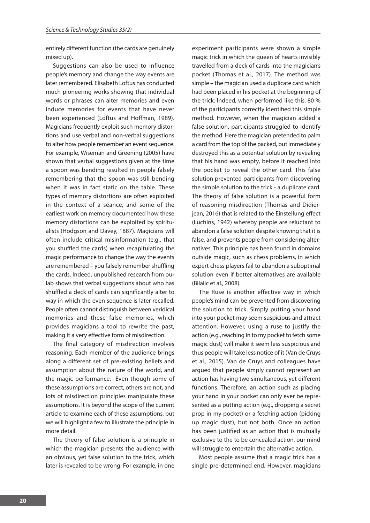entirely different function (the cards are genuinely mixed up).

Suggestions can also be used to influence people's memory and change the way events are later remembered. Elisabeth Loftus has conducted much pioneering works showing that individual words or phrases can alter memories and even induce memories for events that have never been experienced (Loftus and Hoffman, 1989). Magicians frequently exploit such memory distortions and use verbal and non-verbal suggestions to alter how people remember an event sequence. For example, Wiseman and Greening (2005) have shown that verbal suggestions given at the time a spoon was bending resulted in people falsely remembering that the spoon was still bending when it was in fact static on the table. These types of memory distortions are often exploited in the context of a séance, and some of the earliest work on memory documented how these memory distortions can be exploited by spiritualists (Hodgson and Davey, 1887). Magicians will often include critical misinformation (e.g., that you shuffled the cards) when recapitulating the magic performance to change the way the events are remembered – you falsely remember shuffling the cards. Indeed, unpublished research from our lab shows that verbal suggestions about who has shuffled a deck of cards can significantly alter to way in which the even sequence is later recalled. People often cannot distinguish between veridical memories and these false memories, which provides magicians a tool to rewrite the past, making it a very effective form of misdirection.

The final category of misdirection involves reasoning. Each member of the audience brings along a different set of pre-existing beliefs and assumption about the nature of the world, and the magic performance. Even though some of these assumptions are correct, others are not, and lots of misdirection principles manipulate these assumptions. It is beyond the scope of the current article to examine each of these assumptions, but we will highlight a few to illustrate the principle in more detail.

The theory of false solution is a principle in which the magician presents the audience with an obvious, yet false solution to the trick, which later is revealed to be wrong. For example, in one

experiment participants were shown a simple magic trick in which the queen of hearts invisibly travelled from a deck of cards into the magician's pocket (Thomas et al., 2017). The method was simple – the magician used a duplicate card which had been placed in his pocket at the beginning of the trick. Indeed, when performed like this, 80 % of the participants correctly identified this simple method. However, when the magician added a false solution, participants struggled to identify the method. Here the magician pretended to palm a card from the top of the packed, but immediately destroyed this as a potential solution by revealing that his hand was empty, before it reached into the pocket to reveal the other card. This false solution prevented participants from discovering the simple solution to the trick - a duplicate card. The theory of false solution is a powerful form of reasoning misdirection (Thomas and Didierjean, 2016) that is related to the Einstellung effect (Luchins, 1942) whereby people are reluctant to abandon a false solution despite knowing that it is false, and prevents people from considering alternatives. This principle has been found in domains outside magic, such as chess problems, in which expert chess players fail to abandon a suboptimal solution even if better alternatives are available (Bilalic et al., 2008).

The Ruse is another effective way in which people's mind can be prevented from discovering the solution to trick. Simply putting your hand into your pocket may seem suspicious and attract attention. However, using a ruse to justify the action (e.g., reaching in to my pocket to fetch some magic dust) will make it seem less suspicious and thus people will take less notice of it (Van de Cruys et al., 2015). Van de Cruys and colleagues have argued that people simply cannot represent an action has having two simultaneous, yet different functions. Therefore, an action such as placing your hand in your pocket can only ever be represented as a putting action (e.g., dropping a secret prop in my pocket) or a fetching action (picking up magic dust), but not both. Once an action has been justified as an action that is mutually exclusive to the to be concealed action, our mind will struggle to entertain the alternative action.

Most people assume that a magic trick has a single pre-determined end. However, magicians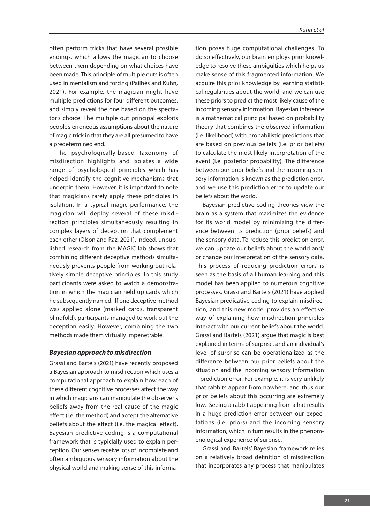often perform tricks that have several possible endings, which allows the magician to choose between them depending on what choices have been made. This principle of multiple outs is often used in mentalism and forcing (Pailhès and Kuhn, 2021). For example, the magician might have multiple predictions for four different outcomes, and simply reveal the one based on the spectator's choice. The multiple out principal exploits people's erroneous assumptions about the nature of magic trick in that they are all presumed to have a predetermined end.

The psychologically-based taxonomy of misdirection highlights and isolates a wide range of psychological principles which has helped identify the cognitive mechanisms that underpin them. However, it is important to note that magicians rarely apply these principles in isolation. In a typical magic performance, the magician will deploy several of these misdirection principles simultaneously resulting in complex layers of deception that complement each other (Olson and Raz, 2021). Indeed, unpublished research from the MAGIC lab shows that combining different deceptive methods simultaneously prevents people from working out relatively simple deceptive principles. In this study participants were asked to watch a demonstration in which the magician held up cards which he subsequently named. If one deceptive method was applied alone (marked cards, transparent blindfold), participants managed to work out the deception easily. However, combining the two methods made them virtually impenetrable.

#### *Bayesian approach to misdirection*

Grassi and Bartels (2021) have recently proposed a Bayesian approach to misdirection which uses a computational approach to explain how each of these different cognitive processes affect the way in which magicians can manipulate the observer's beliefs away from the real cause of the magic effect (i.e. the method) and accept the alternative beliefs about the effect (i.e. the magical effect). Bayesian predictive coding is a computational framework that is typiclally used to explain perception. Our senses receive lots of incomplete and often ambiguous sensory information about the physical world and making sense of this information poses huge computational challenges. To do so effectively, our brain employs prior knowledge to resolve these ambiguities which helps us make sense of this fragmented information. We acquire this prior knowledge by learning statistical regularities about the world, and we can use these priors to predict the most likely cause of the incoming sensory information. Bayesian inference is a mathematical principal based on probability theory that combines the observed information (i.e. likelihood) with probabilistic predictions that are based on previous beliefs (i.e. prior beliefs) to calculate the most likely interpretation of the event (i.e. posterior probability). The difference between our prior beliefs and the incoming sensory information is known as the prediction error, and we use this prediction error to update our beliefs about the world.

Bayesian predictive coding theories view the brain as a system that maximizes the evidence for its world model by minimizing the difference between its prediction (prior beliefs) and the sensory data. To reduce this prediction error, we can update our beliefs about the world and/ or change our interpretation of the sensory data. This process of reducing prediction errors is seen as the basis of all human learning and this model has been applied to numerous cognitive processes. Grassi and Bartels (2021) have applied Bayesian predicative coding to explain misdirection, and this new model provides an effective way of explaining how misdirection principles interact with our current beliefs about the world. Grassi and Bartels (2021) argue that magic is best explained in terms of surprise, and an individual's level of surprise can be operationalized as the difference between our prior beliefs about the situation and the incoming sensory information – prediction error. For example, it is very unlikely that rabbits appear from nowhere, and thus our prior beliefs about this occurring are extremely low. Seeing a rabbit appearing from a hat results in a huge prediction error between our expectations (i.e. priors) and the incoming sensory information, which in turn results in the phenomenological experience of surprise.

Grassi and Bartels' Bayesian framework relies on a relatively broad definition of misdirection that incorporates any process that manipulates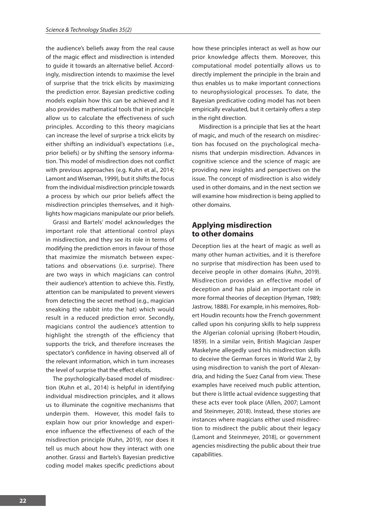the audience's beliefs away from the real cause of the magic effect and misdirection is intended to guide it towards an alternative belief. Accordingly, misdirection intends to maximise the level of surprise that the trick elicits by maximizing the prediction error. Bayesian predictive coding models explain how this can be achieved and it also provides mathematical tools that in principle allow us to calculate the effectiveness of such principles. According to this theory magicians can increase the level of surprise a trick elicits by either shifting an individual's expectations (i.e., prior beliefs) or by shifting the sensory information. This model of misdirection does not conflict with previous approaches (e.g. Kuhn et al., 2014; Lamont and Wiseman, 1999), but it shifts the focus from the individual misdirection principle towards a process by which our prior beliefs affect the misdirection principles themselves, and it highlights how magicians manipulate our prior beliefs.

Grassi and Bartels' model acknowledges the important role that attentional control plays in misdirection, and they see its role in terms of modifying the prediction errors in favour of those that maximize the mismatch between expectations and observations (i.e. surprise). There are two ways in which magicians can control their audience's attention to achieve this. Firstly, attention can be manipulated to prevent viewers from detecting the secret method (e.g., magician sneaking the rabbit into the hat) which would result in a reduced prediction error. Secondly, magicians control the audience's attention to highlight the strength of the efficiency that supports the trick, and therefore increases the spectator's confidence in having observed all of the relevant information, which in turn increases the level of surprise that the effect elicits.

The psychologically-based model of misdirection (Kuhn et al., 2014) is helpful in identifying individual misdirection principles, and it allows us to illuminate the cognitive mechanisms that underpin them. However, this model fails to explain how our prior knowledge and experience influence the effectiveness of each of the misdirection principle (Kuhn, 2019), nor does it tell us much about how they interact with one another. Grassi and Bartels's Bayesian predictive coding model makes specific predictions about

how these principles interact as well as how our prior knowledge affects them. Moreover, this computational model potentially allows us to directly implement the principle in the brain and thus enables us to make important connections to neurophysiological processes. To date, the Bayesian predicative coding model has not been empirically evaluated, but it certainly offers a step in the right direction.

Misdirection is a principle that lies at the heart of magic, and much of the research on misdirection has focused on the psychological mechanisms that underpin misdirection. Advances in cognitive science and the science of magic are providing new insights and perspectives on the issue. The concept of misdirection is also widely used in other domains, and in the next section we will examine how misdirection is being applied to other domains.

## **Applying misdirection to other domains**

Deception lies at the heart of magic as well as many other human activities, and it is therefore no surprise that misdirection has been used to deceive people in other domains (Kuhn, 2019). Misdirection provides an effective model of deception and has plaid an important role in more formal theories of deception (Hyman, 1989; Jastrow, 1888). For example, in his memoires, Robert Houdin recounts how the French government called upon his conjuring skills to help suppress the Algerian colonial uprising (Robert-Houdin, 1859). In a similar vein, British Magician Jasper Maskelyne allegedly used his misdirection skills to deceive the German forces in World War 2, by using misdirection to vanish the port of Alexandria, and hiding the Suez Canal from view. These examples have received much public attention, but there is little actual evidence suggesting that these acts ever took place (Allen, 2007; Lamont and Steinmeyer, 2018). Instead, these stories are instances where magicians either used misdirection to misdirect the public about their legacy (Lamont and Steinmeyer, 2018), or government agencies misdirecting the public about their true capabilities.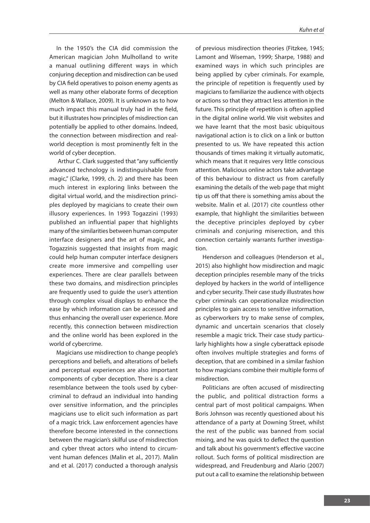In the 1950's the CIA did commission the American magician John Mulholland to write a manual outlining different ways in which conjuring deception and misdirection can be used by CIA field operatives to poison enemy agents as well as many other elaborate forms of deception (Melton & Wallace, 2009). It is unknown as to how much impact this manual truly had in the field, but it illustrates how principles of misdirection can potentially be applied to other domains. Indeed, the connection between misdirection and realworld deception is most prominently felt in the world of cyber deception.

 Arthur C. Clark suggested that "any sufficiently advanced technology is indistinguishable from magic," (Clarke, 1999, ch. 2) and there has been much interest in exploring links between the digital virtual world, and the misdirection principles deployed by magicians to create their own illusory experiences. In 1993 Togazzini (1993) published an influential paper that highlights many of the similarities between human computer interface designers and the art of magic, and Togazzinis suggested that insights from magic could help human computer interface designers create more immersive and compelling user experiences. There are clear parallels between these two domains, and misdirection principles are frequently used to guide the user's attention through complex visual displays to enhance the ease by which information can be accessed and thus enhancing the overall user experience. More recently, this connection between misdirection and the online world has been explored in the world of cybercrime.

Magicians use misdirection to change people's perceptions and beliefs, and alterations of beliefs and perceptual experiences are also important components of cyber deception. There is a clear resemblance between the tools used by cybercriminal to defraud an individual into handing over sensitive information, and the principles magicians use to elicit such information as part of a magic trick. Law enforcement agencies have therefore become interested in the connections between the magician's skilful use of misdirection and cyber threat actors who intend to circumvent human defences (Malin et al., 2017). Malin and et al. (2017) conducted a thorough analysis

of previous misdirection theories (Fitzkee, 1945; Lamont and Wiseman, 1999; Sharpe, 1988) and examined ways in which such principles are being applied by cyber criminals. For example, the principle of repetition is frequently used by magicians to familiarize the audience with objects or actions so that they attract less attention in the future. This principle of repetition is often applied in the digital online world. We visit websites and we have learnt that the most basic ubiquitous navigational action is to click on a link or button presented to us. We have repeated this action thousands of times making it virtually automatic, which means that it requires very little conscious attention. Malicious online actors take advantage of this behaviour to distract us from carefully examining the details of the web page that might tip us off that there is something amiss about the website. Malin et al. (2017) cite countless other example, that highlight the similarities between the deceptive principles deployed by cyber criminals and conjuring miserection, and this connection certainly warrants further investigation.

Henderson and colleagues (Henderson et al., 2015) also highlight how misdirection and magic deception principles resemble many of the tricks deployed by hackers in the world of intelligence and cyber security. Their case study illustrates how cyber criminals can operationalize misdirection principles to gain access to sensitive information, as cyberworkers try to make sense of complex, dynamic and uncertain scenarios that closely resemble a magic trick. Their case study particularly highlights how a single cyberattack episode often involves multiple strategies and forms of deception, that are combined in a similar fashion to how magicians combine their multiple forms of misdirection.

Politicians are often accused of misdirecting the public, and political distraction forms a central part of most political campaigns. When Boris Johnson was recently questioned about his attendance of a party at Downing Street, whilst the rest of the public was banned from social mixing, and he was quick to deflect the question and talk about his government's effective vaccine rollout. Such forms of political misdirection are widespread, and Freudenburg and Alario (2007) put out a call to examine the relationship between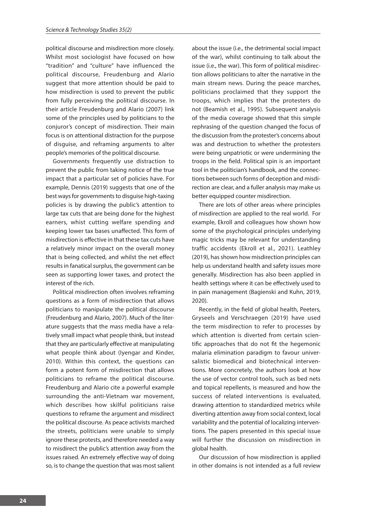political discourse and misdirection more closely. Whilst most sociologist have focused on how "tradition" and "culture" have influenced the political discourse, Freudenburg and Alario suggest that more attention should be paid to how misdirection is used to prevent the public from fully perceiving the political discourse. In their article Freudenburg and Alario (2007) link some of the principles used by politicians to the conjuror's concept of misdirection. Their main focus is on attentional distraction for the purpose of disguise, and reframing arguments to alter people's memories of the political discourse.

Governments frequently use distraction to prevent the public from taking notice of the true impact that a particular set of policies have. For example, Dennis (2019) suggests that one of the best ways for governments to disguise high-taxing policies is by drawing the public's attention to large tax cuts that are being done for the highest earners, whist cutting welfare spending and keeping lower tax bases unaffected. This form of misdirection is effective in that these tax cuts have a relatively minor impact on the overall money that is being collected, and whilst the net effect results in fanatical surplus, the government can be seen as supporting lower taxes, and protect the interest of the rich.

Political misdirection often involves reframing questions as a form of misdirection that allows politicians to manipulate the political discourse (Freudenburg and Alario, 2007). Much of the literature suggests that the mass media have a relatively small impact what people think, but instead that they are particularly effective at manipulating what people think about (Iyengar and Kinder, 2010). Within this context, the questions can form a potent form of misdirection that allows politicians to reframe the political discourse. Freudenburg and Alario cite a powerful example surrounding the anti-Vietnam war movement, which describes how skilful politicians raise questions to reframe the argument and misdirect the political discourse. As peace activists marched the streets, politicians were unable to simply ignore these protests, and therefore needed a way to misdirect the public's attention away from the issues raised. An extremely effective way of doing so, is to change the question that was most salient

about the issue (i.e., the detrimental social impact of the war), whilst continuing to talk about the issue (i.e., the war). This form of political misdirection allows politicians to alter the narrative in the main stream news. During the peace marches, politicians proclaimed that they support the troops, which implies that the protesters do not (Beamish et al., 1995). Subsequent analysis of the media coverage showed that this simple rephrasing of the question changed the focus of the discussion from the protester's concerns about was and destruction to whether the protesters were being unpatriotic or were undermining the troops in the field. Political spin is an important tool in the politician's handbook, and the connections between such forms of deception and misdirection are clear, and a fuller analysis may make us better equipped counter misdirection.

There are lots of other areas where principles of misdirection are applied to the real world. For example, Ekroll and colleagues how shown how some of the psychological principles underlying magic tricks may be relevant for understanding traffic accidents (Ekroll et al., 2021). Leathley (2019), has shown how misdirection principles can help us understand health and safety issues more generally. Misdirection has also been applied in health settings where it can be effectively used to in pain management (Bagienski and Kuhn, 2019, 2020).

Recently, in the field of global health, Peeters, Gryseels and Verschraegen (2019) have used the term misdirection to refer to processes by which attention is diverted from certain scientific approaches that do not fit the hegemonic malaria elimination paradigm to favour universalistic biomedical and biotechnical interventions. More concretely, the authors look at how the use of vector control tools, such as bed nets and topical repellents, is measured and how the success of related interventions is evaluated, drawing attention to standardized metrics while diverting attention away from social context, local variability and the potential of localizing interventions. The papers presented in this special issue will further the discussion on misdirection in global health.

Our discussion of how misdirection is applied in other domains is not intended as a full review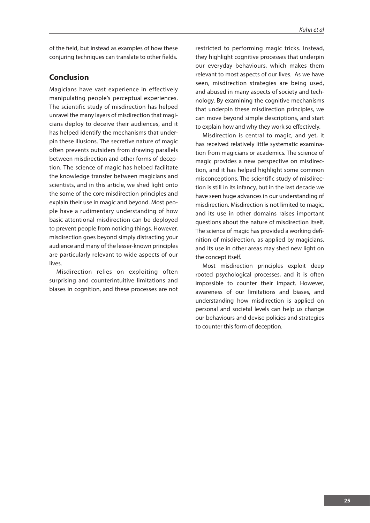of the field, but instead as examples of how these conjuring techniques can translate to other fields.

# **Conclusion**

Magicians have vast experience in effectively manipulating people's perceptual experiences. The scientific study of misdirection has helped unravel the many layers of misdirection that magicians deploy to deceive their audiences, and it has helped identify the mechanisms that underpin these illusions. The secretive nature of magic often prevents outsiders from drawing parallels between misdirection and other forms of deception. The science of magic has helped facilitate the knowledge transfer between magicians and scientists, and in this article, we shed light onto the some of the core misdirection principles and explain their use in magic and beyond. Most people have a rudimentary understanding of how basic attentional misdirection can be deployed to prevent people from noticing things. However, misdirection goes beyond simply distracting your audience and many of the lesser-known principles are particularly relevant to wide aspects of our lives.

Misdirection relies on exploiting often surprising and counterintuitive limitations and biases in cognition, and these processes are not restricted to performing magic tricks. Instead, they highlight cognitive processes that underpin our everyday behaviours, which makes them relevant to most aspects of our lives. As we have seen, misdirection strategies are being used, and abused in many aspects of society and technology. By examining the cognitive mechanisms that underpin these misdirection principles, we can move beyond simple descriptions, and start to explain how and why they work so effectively.

Misdirection is central to magic, and yet, it has received relatively little systematic examination from magicians or academics. The science of magic provides a new perspective on misdirection, and it has helped highlight some common misconceptions. The scientific study of misdirection is still in its infancy, but in the last decade we have seen huge advances in our understanding of misdirection. Misdirection is not limited to magic, and its use in other domains raises important questions about the nature of misdirection itself. The science of magic has provided a working definition of misdirection, as applied by magicians, and its use in other areas may shed new light on the concept itself.

Most misdirection principles exploit deep rooted psychological processes, and it is often impossible to counter their impact. However, awareness of our limitations and biases, and understanding how misdirection is applied on personal and societal levels can help us change our behaviours and devise policies and strategies to counter this form of deception.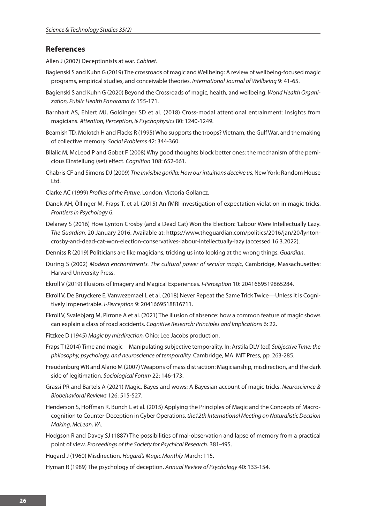#### **References**

Allen J (2007) Deceptionists at war. *Cabinet*.

- Bagienski S and Kuhn G (2019) The crossroads of magic and Wellbeing: A review of wellbeing-focused magic programs, empirical studies, and conceivable theories. *International Journal of Wellbeing* 9: 41-65.
- Bagienski S and Kuhn G (2020) Beyond the Crossroads of magic, health, and wellbeing. *World Health Organization, Public Health Panorama* 6: 155-171.
- Barnhart AS, Ehlert MJ, Goldinger SD et al. (2018) Cross-modal attentional entrainment: Insights from magicians. *Attention, Perception, & Psychophysics* 80: 1240-1249.
- Beamish TD, Molotch H and Flacks R (1995) Who supports the troops? Vietnam, the Gulf War, and the making of collective memory. *Social Problems* 42: 344-360.
- Bilalic M, McLeod P and Gobet F (2008) Why good thoughts block better ones: the mechanism of the pernicious Einstellung (set) effect. *Cognition* 108: 652-661.
- Chabris CF and Simons DJ (2009) *The invisible gorilla: How our intuitions deceive us,* New York: Random House Ltd.
- Clarke AC (1999) *Profiles of the Future,* London: Victoria Gollancz.
- Danek AH, Öllinger M, Fraps T, et al. (2015) An fMRI investigation of expectation violation in magic tricks. *Frontiers in Psychology* 6.
- Delaney S (2016) How Lynton Crosby (and a Dead Cat) Won the Election: 'Labour Were Intellectually Lazy. *The Guardian,* 20 January 2016. Available at: https://www.theguardian.com/politics/2016/jan/20/lyntoncrosby-and-dead-cat-won-election-conservatives-labour-intellectually-lazy (accessed 16.3.2022).
- Denniss R (2019) Politicians are like magicians, tricking us into looking at the wrong things. *Guardian*.
- During S (2002) *Modern enchantments. The cultural power of secular magic,* Cambridge, Massachusettes: Harvard University Press.
- Ekroll V (2019) Illusions of Imagery and Magical Experiences. *I-Perception* 10: 2041669519865284.
- Ekroll V, De Bruyckere E, Vanwezemael L et al. (2018) Never Repeat the Same Trick Twice—Unless it is Cognitively Impenetrable. *I-Perception* 9: 2041669518816711.
- Ekroll V, Svalebjørg M, Pirrone A et al. (2021) The illusion of absence: how a common feature of magic shows can explain a class of road accidents. *Cognitive Research: Principles and Implications* 6: 22.
- Fitzkee D (1945) *Magic by misdirection,* Ohio: Lee Jacobs production.
- Fraps T (2014) Time and magic—Manipulating subjective temporality. In: Arstila DLV (ed) *Subjective Time: the philosophy, psychology, and neuroscience of temporality.* Cambridge, MA: MIT Press, pp. 263-285.
- Freudenburg WR and Alario M (2007) Weapons of mass distraction: Magicianship, misdirection, and the dark side of legitimation. *Sociological Forum* 22: 146-173.
- Grassi PR and Bartels A (2021) Magic, Bayes and wows: A Bayesian account of magic tricks. *Neuroscience & Biobehavioral Reviews* 126: 515-527.
- Henderson S, Hoffman R, Bunch L et al. (2015) Applying the Principles of Magic and the Concepts of Macrocognition to Counter-Deception in Cyber Operations. *the12th International Meeting on Naturalistic Decision Making, McLean, VA.*
- Hodgson R and Davey SJ (1887) The possibilities of mal-observation and lapse of memory from a practical point of view. *Proceedings of the Society for Psychical Research.* 381-495.

Hugard J (1960) Misdirection. *Hugard's Magic Monthly* March: 115.

Hyman R (1989) The psychology of deception. *Annual Review of Psychology* 40: 133-154.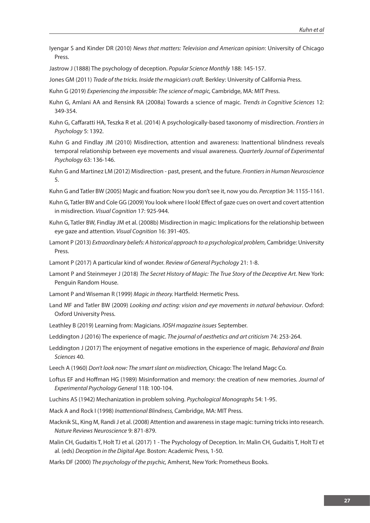Iyengar S and Kinder DR (2010) *News that matters: Television and American opinion*: University of Chicago Press.

Jastrow J (1888) The psychology of deception. *Popular Science Monthly* 188: 145-157.

Jones GM (2011) *Trade of the tricks. Inside the magician's craft.* Berkley: University of California Press.

Kuhn G (2019) *Experiencing the impossible: The science of magic,* Cambridge, MA: MIT Press.

- Kuhn G, Amlani AA and Rensink RA (2008a) Towards a science of magic. *Trends in Cognitive Sciences* 12: 349-354.
- Kuhn G, Caffaratti HA, Teszka R et al. (2014) A psychologically-based taxonomy of misdirection. *Frontiers in Psychology* 5: 1392.
- Kuhn G and Findlay JM (2010) Misdirection, attention and awareness: Inattentional blindness reveals temporal relationship between eye movements and visual awareness. *Quarterly Journal of Experimental Psychology* 63: 136-146.
- Kuhn G and Martinez LM (2012) Misdirection past, present, and the future. *Frontiers in Human Neuroscience* 5.
- Kuhn G and Tatler BW (2005) Magic and fixation: Now you don't see it, now you do. *Perception* 34: 1155-1161.
- Kuhn G, Tatler BW and Cole GG (2009) You look where I look! Effect of gaze cues on overt and covert attention in misdirection. *Visual Cognition* 17: 925-944.
- Kuhn G, Tatler BW, Findlay JM et al. (2008b) Misdirection in magic: Implications for the relationship between eye gaze and attention. *Visual Cognition* 16: 391-405.
- Lamont P (2013) *Extraordinary beliefs: A historical approach to a psychological problem,* Cambridge: University Press.
- Lamont P (2017) A particular kind of wonder. *Review of General Psychology* 21: 1-8.
- Lamont P and Steinmeyer J (2018) *The Secret History of Magic: The True Story of the Deceptive Art*. New York: Penguin Random House.
- Lamont P and Wiseman R (1999) *Magic in theory.* Hartfield: Hermetic Press.
- Land MF and Tatler BW (2009) *Looking and acting: vision and eye movements in natural behaviour*. Oxford: Oxford University Press.
- Leathley B (2019) Learning from: Magicians. *IOSH magazine issues* September.

Leddington J (2016) The experience of magic. *The journal of aesthetics and art criticism* 74: 253-264.

- Leddington J (2017) The enjoyment of negative emotions in the experience of magic. *Behavioral and Brain Sciences* 40.
- Leech A (1960) *Don't look now: The smart slant on misdirection,* Chicago: The Ireland Magc Co.
- Loftus EF and Hoffman HG (1989) Misinformation and memory: the creation of new memories. *Journal of Experimental Psychology General* 118: 100-104.
- Luchins AS (1942) Mechanization in problem solving. *Psychological Monographs* 54: 1-95.
- Mack A and Rock I (1998) *Inattentional Blindness,* Cambridge, MA: MIT Press.
- Macknik SL, King M, Randi J et al. (2008) Attention and awareness in stage magic: turning tricks into research. *Nature Reviews Neuroscience* 9: 871-879.
- Malin CH, Gudaitis T, Holt TJ et al. (2017) 1 The Psychology of Deception. In: Malin CH, Gudaitis T, Holt TJ et al. (eds) *Deception in the Digital Age.* Boston: Academic Press, 1-50.
- Marks DF (2000) *The psychology of the psychic,* Amherst, New York: Prometheus Books.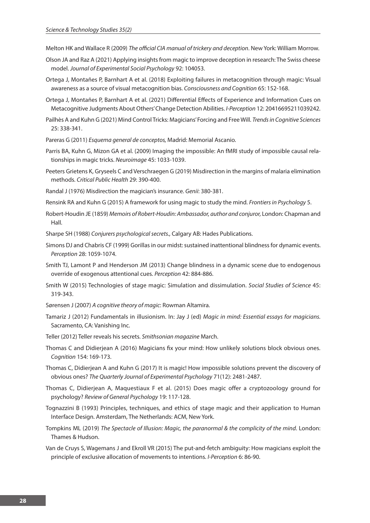Melton HK and Wallace R (2009) *The official CIA manual of trickery and deception*. New York: William Morrow.

- Olson JA and Raz A (2021) Applying insights from magic to improve deception in research: The Swiss cheese model. *Journal of Experimental Social Psychology* 92: 104053.
- Ortega J, Montañes P, Barnhart A et al. (2018) Exploiting failures in metacognition through magic: Visual awareness as a source of visual metacognition bias. *Consciousness and Cognition* 65: 152-168.
- Ortega J, Montañes P, Barnhart A et al. (2021) Differential Effects of Experience and Information Cues on Metacognitive Judgments About Others' Change Detection Abilities. *I-Perception* 12: 20416695211039242.
- Pailhès A and Kuhn G (2021) Mind Control Tricks: Magicians' Forcing and Free Will. *Trends in Cognitive Sciences* 25: 338-341.
- Pareras G (2011) *Esquema general de conceptos,* Madrid: Memorial Ascanio.
- Parris BA, Kuhn G, Mizon GA et al. (2009) Imaging the impossible: An fMRI study of impossible causal relationships in magic tricks. *Neuroimage* 45: 1033-1039.
- Peeters Grietens K, Gryseels C and Verschraegen G (2019) Misdirection in the margins of malaria elimination methods. *Critical Public Health* 29: 390-400.
- Randal J (1976) Misdirection the magician's insurance. *Genii*: 380-381.
- Rensink RA and Kuhn G (2015) A framework for using magic to study the mind. *Frontiers in Psychology* 5.
- Robert-Houdin JE (1859) *Memoirs of Robert-Houdin: Ambassador, author and conjuror,* London: Chapman and Hall.
- Sharpe SH (1988) *Conjurers psychological secrets.,* Calgary AB: Hades Publications.
- Simons DJ and Chabris CF (1999) Gorillas in our midst: sustained inattentional blindness for dynamic events. *Perception* 28: 1059-1074.
- Smith TJ, Lamont P and Henderson JM (2013) Change blindness in a dynamic scene due to endogenous override of exogenous attentional cues. *Perception* 42: 884-886.
- Smith W (2015) Technologies of stage magic: Simulation and dissimulation. *Social Studies of Science* 45: 319-343.
- Sørensen J (2007) *A cognitive theory of magic*: Rowman Altamira.
- Tamariz J (2012) Fundamentals in illusionism. In: Jay J (ed) *Magic in mind: Essential essays for magicians.* Sacramento, CA: Vanishing Inc.
- Teller (2012) Teller reveals his secrets. *Smithsonian magazine* March.
- Thomas C and Didierjean A (2016) Magicians fix your mind: How unlikely solutions block obvious ones. *Cognition* 154: 169-173.
- Thomas C, Didierjean A and Kuhn G (2017) It is magic! How impossible solutions prevent the discovery of obvious ones? *The Quarterly Journal of Experimental Psychology* 71(12): 2481-2487.
- Thomas C, Didierjean A, Maquestiaux F et al. (2015) Does magic offer a cryptozoology ground for psychology? *Review of General Psychology* 19: 117-128.
- Tognazzini B (1993) Principles, techniques, and ethics of stage magic and their application to Human Interface Design. Amsterdam, The Netherlands: ACM, New York.
- Tompkins ML (2019) *The Spectacle of Illusion: Magic, the paranormal & the complicity of the mind*. London: Thames & Hudson.
- Van de Cruys S, Wagemans J and Ekroll VR (2015) The put-and-fetch ambiguity: How magicians exploit the principle of exclusive allocation of movements to intentions. *I-Perception* 6: 86-90.